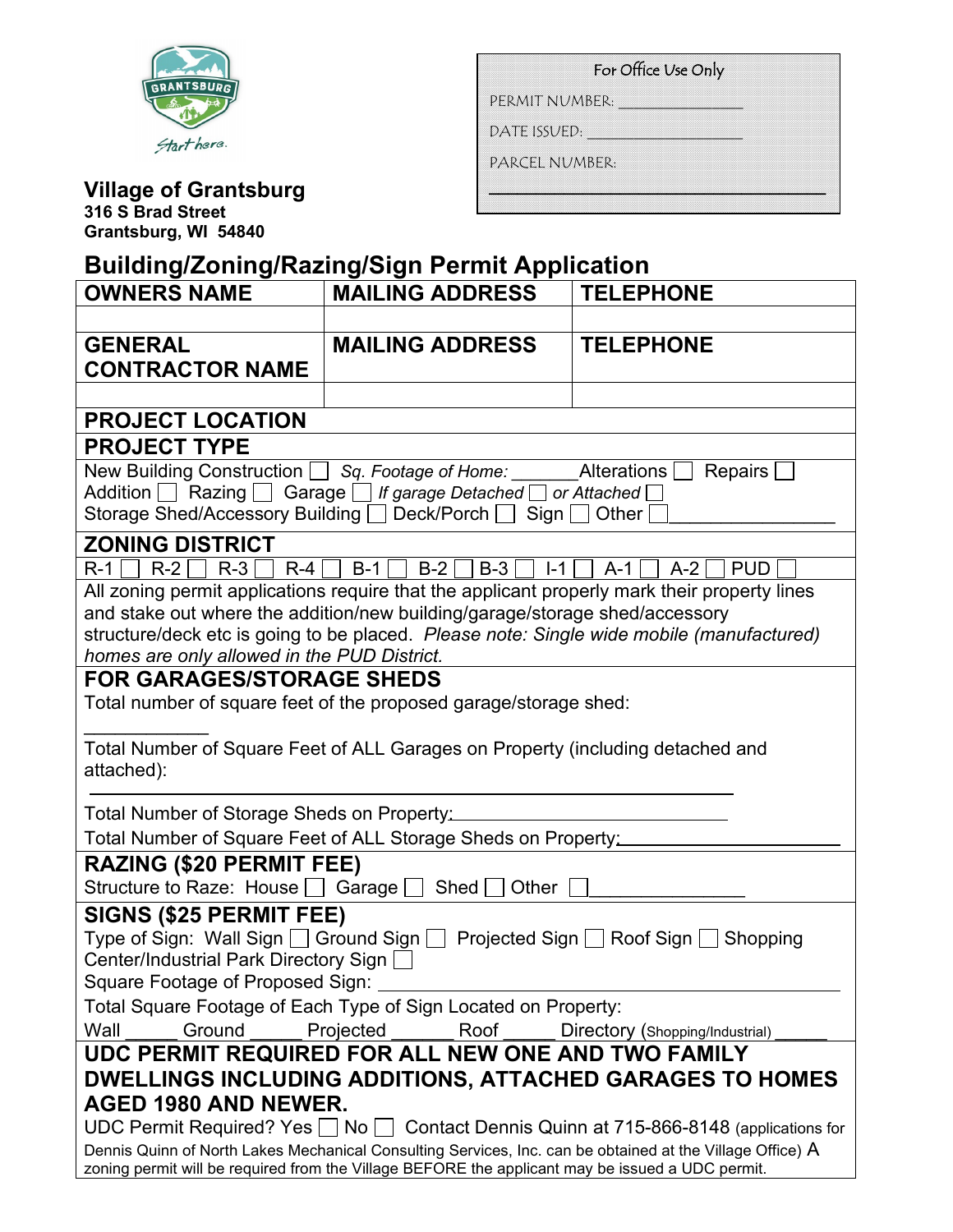

| For Office Use Only |  |  |  |
|---------------------|--|--|--|
| PERMIT NUMBER:      |  |  |  |
| DATE ISSUED:        |  |  |  |
| PARCEL NUMBER:      |  |  |  |
|                     |  |  |  |

# **Village of Grantsburg**

**316 S Brad Street Grantsburg, WI 54840**

## **Building/Zoning/Razing/Sign Permit Application**

| <b>OWNERS NAME</b>                                                                                                                                                      | <b>MAILING ADDRESS</b>                                                                           | <b>TELEPHONE</b>                                                                                          |  |
|-------------------------------------------------------------------------------------------------------------------------------------------------------------------------|--------------------------------------------------------------------------------------------------|-----------------------------------------------------------------------------------------------------------|--|
|                                                                                                                                                                         |                                                                                                  |                                                                                                           |  |
| <b>GENERAL</b>                                                                                                                                                          | <b>MAILING ADDRESS</b>                                                                           | <b>TELEPHONE</b>                                                                                          |  |
| <b>CONTRACTOR NAME</b>                                                                                                                                                  |                                                                                                  |                                                                                                           |  |
|                                                                                                                                                                         |                                                                                                  |                                                                                                           |  |
| <b>PROJECT LOCATION</b>                                                                                                                                                 |                                                                                                  |                                                                                                           |  |
| <b>PROJECT TYPE</b>                                                                                                                                                     |                                                                                                  |                                                                                                           |  |
| Repairs                                                                                                                                                                 |                                                                                                  |                                                                                                           |  |
| Addition Razing Garage I If garage Detached I or Attached I                                                                                                             |                                                                                                  |                                                                                                           |  |
| Storage Shed/Accessory Building □ Deck/Porch □ Sign □<br>Other                                                                                                          |                                                                                                  |                                                                                                           |  |
| <b>ZONING DISTRICT</b>                                                                                                                                                  |                                                                                                  |                                                                                                           |  |
| $R-1$ R-2 R-3 R-4 R-4 B-1 B-2 B-3 R<br>$I - 1$   A-1<br>$A-2$<br><b>PUD</b>                                                                                             |                                                                                                  |                                                                                                           |  |
| All zoning permit applications require that the applicant properly mark their property lines                                                                            |                                                                                                  |                                                                                                           |  |
| and stake out where the addition/new building/garage/storage shed/accessory<br>structure/deck etc is going to be placed. Please note: Single wide mobile (manufactured) |                                                                                                  |                                                                                                           |  |
| homes are only allowed in the PUD District.                                                                                                                             |                                                                                                  |                                                                                                           |  |
| <b>FOR GARAGES/STORAGE SHEDS</b>                                                                                                                                        |                                                                                                  |                                                                                                           |  |
| Total number of square feet of the proposed garage/storage shed:                                                                                                        |                                                                                                  |                                                                                                           |  |
|                                                                                                                                                                         |                                                                                                  |                                                                                                           |  |
| Total Number of Square Feet of ALL Garages on Property (including detached and                                                                                          |                                                                                                  |                                                                                                           |  |
| attached):                                                                                                                                                              |                                                                                                  |                                                                                                           |  |
| Total Number of Storage Sheds on Property:                                                                                                                              |                                                                                                  |                                                                                                           |  |
| Total Number of Square Feet of ALL Storage Sheds on Property:                                                                                                           |                                                                                                  |                                                                                                           |  |
| <b>RAZING (\$20 PERMIT FEE)</b>                                                                                                                                         |                                                                                                  |                                                                                                           |  |
| Structure to Raze: House $\Box$ Garage $\Box$ Shed $\Box$ Other                                                                                                         |                                                                                                  |                                                                                                           |  |
| <b>SIGNS (\$25 PERMIT FEE)</b>                                                                                                                                          |                                                                                                  |                                                                                                           |  |
| Type of Sign: Wall Sign $\Box$ Ground Sign $\Box$ Projected Sign $\Box$ Roof Sign $\Box$ Shopping                                                                       |                                                                                                  |                                                                                                           |  |
| Center/Industrial Park Directory Sign                                                                                                                                   |                                                                                                  |                                                                                                           |  |
| Square Footage of Proposed Sign:                                                                                                                                        |                                                                                                  |                                                                                                           |  |
| Total Square Footage of Each Type of Sign Located on Property:                                                                                                          |                                                                                                  |                                                                                                           |  |
| Wall<br>Ground<br>Roof<br>Projected<br>Directory (Shopping/Industrial)                                                                                                  |                                                                                                  |                                                                                                           |  |
| UDC PERMIT REQUIRED FOR ALL NEW ONE AND TWO FAMILY                                                                                                                      |                                                                                                  |                                                                                                           |  |
| DWELLINGS INCLUDING ADDITIONS, ATTACHED GARAGES TO HOMES                                                                                                                |                                                                                                  |                                                                                                           |  |
| AGED 1980 AND NEWER.<br>UDC Permit Required? Yes $\Box$ No $\Box$ Contact Dennis Quinn at 715-866-8148 (applications for                                                |                                                                                                  |                                                                                                           |  |
|                                                                                                                                                                         |                                                                                                  |                                                                                                           |  |
|                                                                                                                                                                         | zoning permit will be required from the Village BEFORE the applicant may be issued a UDC permit. | Dennis Quinn of North Lakes Mechanical Consulting Services, Inc. can be obtained at the Village Office) A |  |
|                                                                                                                                                                         |                                                                                                  |                                                                                                           |  |